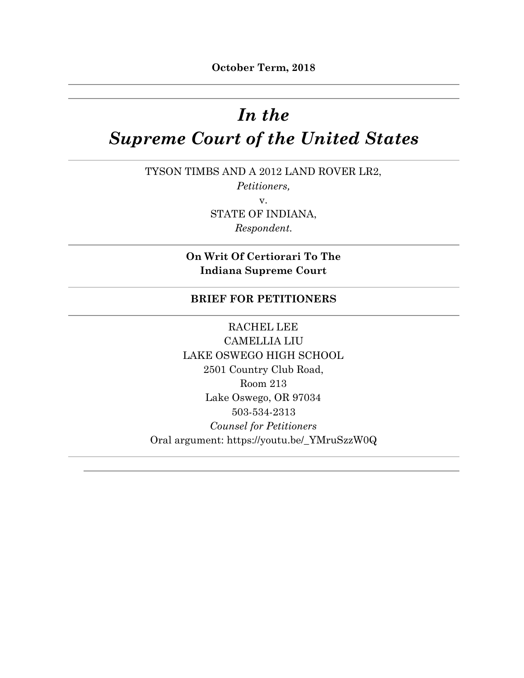# *In the Supreme Court of the United States*

TYSON TIMBS AND A 2012 LAND ROVER LR2, *Petitioners,* v. STATE OF INDIANA, *Respondent.*

> **On Writ Of Certiorari To The Indiana Supreme Court**

#### **BRIEF FOR PETITIONERS**

RACHEL LEE CAMELLIA LIU LAKE OSWEGO HIGH SCHOOL 2501 Country Club Road, Room 213 Lake Oswego, OR 97034 503-534-2313 *Counsel for Petitioners* Oral argument: https://youtu.be/\_YMruSzzW0Q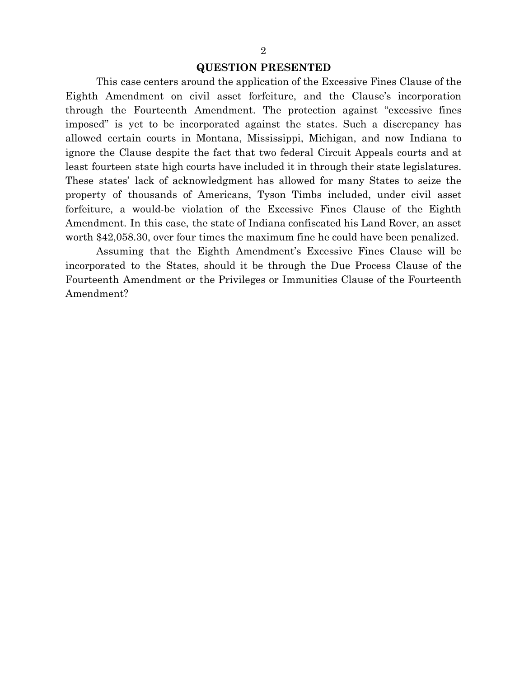#### **QUESTION PRESENTED**

This case centers around the application of the Excessive Fines Clause of the Eighth Amendment on civil asset forfeiture, and the Clause's incorporation through the Fourteenth Amendment. The protection against "excessive fines imposed" is yet to be incorporated against the states. Such a discrepancy has allowed certain courts in Montana, Mississippi, Michigan, and now Indiana to ignore the Clause despite the fact that two federal Circuit Appeals courts and at least fourteen state high courts have included it in through their state legislatures. These states' lack of acknowledgment has allowed for many States to seize the property of thousands of Americans, Tyson Timbs included, under civil asset forfeiture, a would-be violation of the Excessive Fines Clause of the Eighth Amendment. In this case, the state of Indiana confiscated his Land Rover, an asset worth \$42,058.30, over four times the maximum fine he could have been penalized.

Assuming that the Eighth Amendment's Excessive Fines Clause will be incorporated to the States, should it be through the Due Process Clause of the Fourteenth Amendment or the Privileges or Immunities Clause of the Fourteenth Amendment?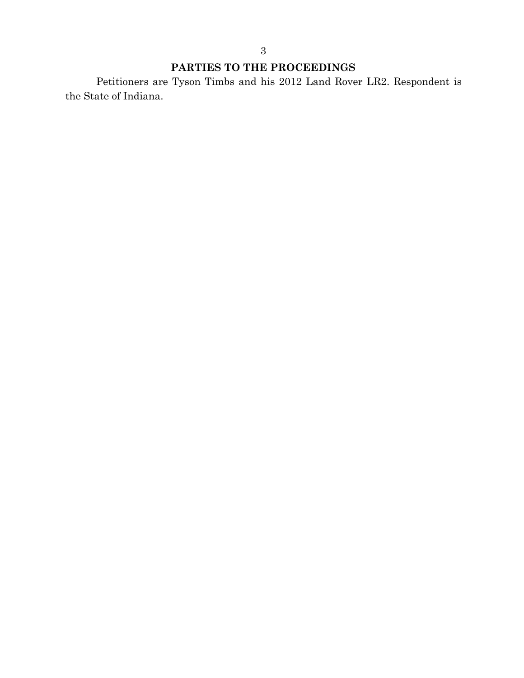# **PARTIES TO THE PROCEEDINGS**

Petitioners are Tyson Timbs and his 2012 Land Rover LR2. Respondent is the State of Indiana.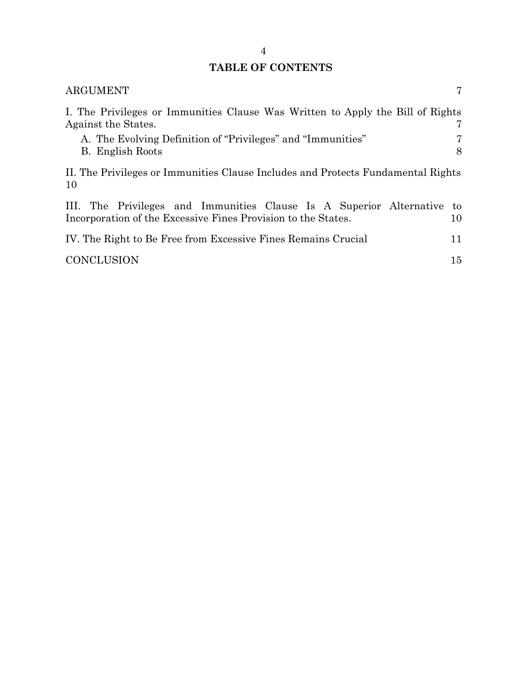# **TABLE OF CONTENTS**

| <b>ARGUMENT</b>                                                                                                                      | 7        |
|--------------------------------------------------------------------------------------------------------------------------------------|----------|
| I. The Privileges or Immunities Clause Was Written to Apply the Bill of Rights<br>Against the States.                                | 7        |
| A. The Evolving Definition of "Privileges" and "Immunities"<br>B. English Roots                                                      | 7<br>8   |
| II. The Privileges or Immunities Clause Includes and Protects Fundamental Rights<br>10                                               |          |
| III. The Privileges and Immunities Clause Is A Superior Alternative<br>Incorporation of the Excessive Fines Provision to the States. | to<br>10 |
| IV. The Right to Be Free from Excessive Fines Remains Crucial                                                                        | 11       |
| <b>CONCLUSION</b>                                                                                                                    | 15       |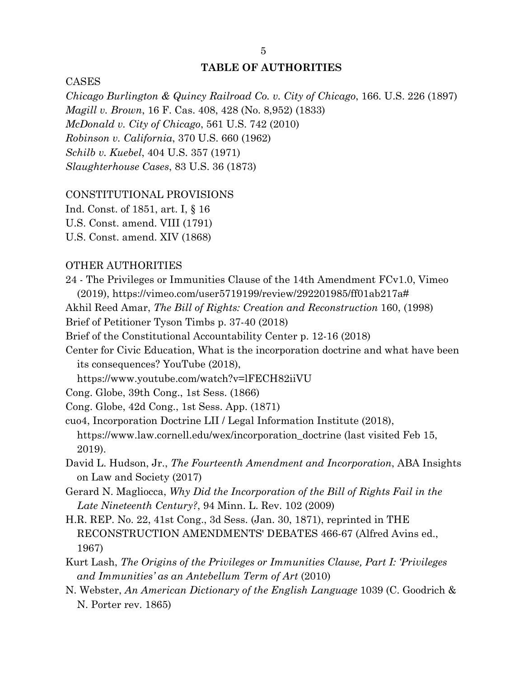#### **TABLE OF AUTHORITIES**

CASES

*Chicago Burlington & Quincy Railroad Co. v. City of Chicago*, 166. U.S. 226 (1897) *Magill v. Brown*, 16 F. Cas. 408, 428 (No. 8,952) (1833) *McDonald v. City of Chicago*, 561 U.S. 742 (2010) *Robinson v. California*, 370 U.S. 660 (1962) *Schilb v. Kuebel*, 404 U.S. 357 (1971) *Slaughterhouse Cases*, 83 U.S. 36 (1873)

#### CONSTITUTIONAL PROVISIONS

Ind. Const. of 1851, art. I, § 16 U.S. Const. amend. VIII (1791)

U.S. Const. amend. XIV (1868)

#### OTHER AUTHORITIES

24 - The Privileges or Immunities Clause of the 14th Amendment FCv1.0, Vimeo (2019), https://vimeo.com/user5719199/review/292201985/ff01ab217a#

Akhil Reed Amar, *The Bill of Rights: Creation and Reconstruction* 160, (1998)

Brief of Petitioner Tyson Timbs p. 37-40 (2018)

Brief of the Constitutional Accountability Center p. 12-16 (2018)

Center for Civic Education, What is the incorporation doctrine and what have been its consequences? YouTube (2018),

https://www.youtube.com/watch?v=lFECH82iiVU

Cong. Globe, 39th Cong., 1st Sess. (1866)

Cong. Globe, 42d Cong., 1st Sess. App. (1871)

cuo4, Incorporation Doctrine LII / Legal Information Institute (2018), https://www.law.cornell.edu/wex/incorporation\_doctrine (last visited Feb 15, 2019).

- David L. Hudson, Jr., *The Fourteenth Amendment and Incorporation*, ABA Insights on Law and Society (2017)
- Gerard N. Magliocca, *Why Did the Incorporation of the Bill of Rights Fail in the Late Nineteenth Century?*, 94 Minn. L. Rev. 102 (2009)
- H.R. REP. No. 22, 41st Cong., 3d Sess. (Jan. 30, 1871), reprinted in THE RECONSTRUCTION AMENDMENTS' DEBATES 466-67 (Alfred Avins ed., 1967)
- Kurt Lash, *The Origins of the Privileges or Immunities Clause, Part I: 'Privileges and Immunities' as an Antebellum Term of Art* (2010)
- N. Webster, *An American Dictionary of the English Language* 1039 (C. Goodrich & N. Porter rev. 1865)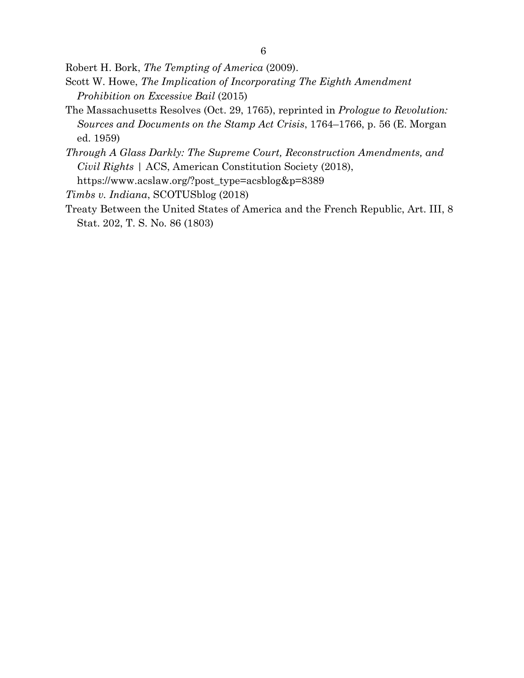6

Robert H. Bork, *The Tempting of America* (2009).

- Scott W. Howe, *The Implication of Incorporating The Eighth Amendment Prohibition on Excessive Bail* (2015)
- The Massachusetts Resolves (Oct. 29, 1765), reprinted in *Prologue to Revolution: Sources and Documents on the Stamp Act Crisis*, 1764–1766, p. 56 (E. Morgan ed. 1959)
- *Through A Glass Darkly: The Supreme Court, Reconstruction Amendments, and Civil Rights* | ACS, American Constitution Society (2018), https://www.acslaw.org/?post\_type=acsblog&p=8389

*Timbs v. Indiana*, SCOTUSblog (2018)

Treaty Between the United States of America and the French Republic, Art. III, 8 Stat. 202, T. S. No. 86 (1803)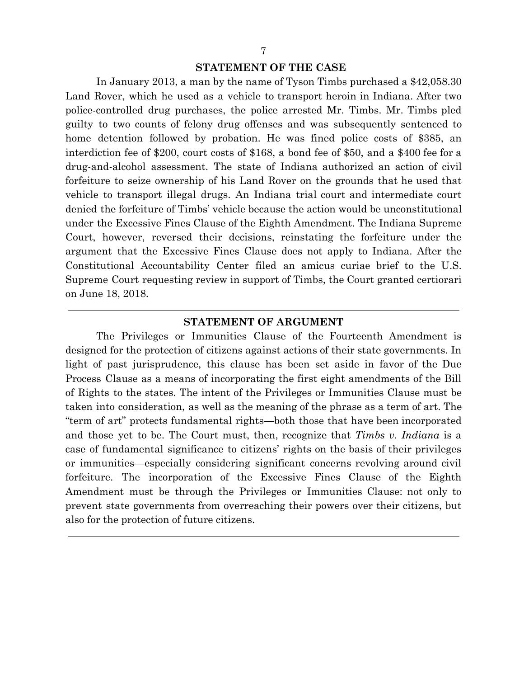#### **STATEMENT OF THE CASE**

In January 2013, a man by the name of Tyson Timbs purchased a \$42,058.30 Land Rover, which he used as a vehicle to transport heroin in Indiana. After two police-controlled drug purchases, the police arrested Mr. Timbs. Mr. Timbs pled guilty to two counts of felony drug offenses and was subsequently sentenced to home detention followed by probation. He was fined police costs of \$385, an interdiction fee of \$200, court costs of \$168, a bond fee of \$50, and a \$400 fee for a drug-and-alcohol assessment. The state of Indiana authorized an action of civil forfeiture to seize ownership of his Land Rover on the grounds that he used that vehicle to transport illegal drugs. An Indiana trial court and intermediate court denied the forfeiture of Timbs' vehicle because the action would be unconstitutional under the Excessive Fines Clause of the Eighth Amendment. The Indiana Supreme Court, however, reversed their decisions, reinstating the forfeiture under the argument that the Excessive Fines Clause does not apply to Indiana. After the Constitutional Accountability Center filed an amicus curiae brief to the U.S. Supreme Court requesting review in support of Timbs, the Court granted certiorari on June 18, 2018.

#### **STATEMENT OF ARGUMENT**

The Privileges or Immunities Clause of the Fourteenth Amendment is designed for the protection of citizens against actions of their state governments. In light of past jurisprudence, this clause has been set aside in favor of the Due Process Clause as a means of incorporating the first eight amendments of the Bill of Rights to the states. The intent of the Privileges or Immunities Clause must be taken into consideration, as well as the meaning of the phrase as a term of art. The "term of art" protects fundamental rights—both those that have been incorporated and those yet to be. The Court must, then, recognize that *Timbs v. Indiana* is a case of fundamental significance to citizens' rights on the basis of their privileges or immunities—especially considering significant concerns revolving around civil forfeiture. The incorporation of the Excessive Fines Clause of the Eighth Amendment must be through the Privileges or Immunities Clause: not only to prevent state governments from overreaching their powers over their citizens, but also for the protection of future citizens.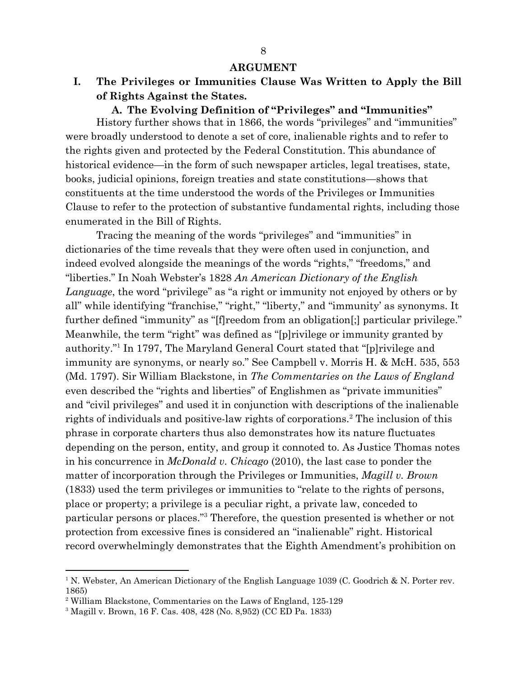#### **ARGUMENT**

<span id="page-7-1"></span><span id="page-7-0"></span>**I. The Privileges or Immunities Clause Was Written to Apply the Bill of Rights Against the States.**

#### **A. The Evolving Definition of "Privileges" and "Immunities"**

<span id="page-7-2"></span>History further shows that in 1866, the words "privileges" and "immunities" were broadly understood to denote a set of core, inalienable rights and to refer to the rights given and protected by the Federal Constitution. This abundance of historical evidence—in the form of such newspaper articles, legal treatises, state, books, judicial opinions, foreign treaties and state constitutions—shows that constituents at the time understood the words of the Privileges or Immunities Clause to refer to the protection of substantive fundamental rights, including those enumerated in the Bill of Rights.

Tracing the meaning of the words "privileges" and "immunities" in dictionaries of the time reveals that they were often used in conjunction, and indeed evolved alongside the meanings of the words "rights," "freedoms," and "liberties." In Noah Webster's 1828 *An American Dictionary of the English Language*, the word "privilege" as "a right or immunity not enjoyed by others or by all" while identifying "franchise," "right," "liberty," and "immunity' as synonyms. It further defined "immunity" as "[f]reedom from an obligation[;] particular privilege." Meanwhile, the term "right" was defined as "[p]rivilege or immunity granted by authority." In 1797, The Maryland General Court stated that "[p]rivilege and immunity are synonyms, or nearly so." See Campbell v. Morris H. & McH. 535, 553 (Md. 1797). Sir William Blackstone, in *The Commentaries on the Laws of England* even described the "rights and liberties" of Englishmen as "private immunities" and "civil privileges" and used it in conjunction with descriptions of the inalienable rights of individuals and positive-law rights of corporations.<sup>2</sup> The inclusion of this phrase in corporate charters thus also demonstrates how its nature fluctuates depending on the person, entity, and group it connoted to. As Justice Thomas notes in his concurrence in *McDonald v. Chicago* (2010), the last case to ponder the matter of incorporation through the Privileges or Immunities, *Magill v. Brown* (1833) used the term privileges or immunities to "relate to the rights of persons, place or property; a privilege is a peculiar right, a private law, conceded to particular persons or places."<sup>3</sup> Therefore, the question presented is whether or not protection from excessive fines is considered an "inalienable" right. Historical record overwhelmingly demonstrates that the Eighth Amendment's prohibition on

<sup>&</sup>lt;sup>1</sup> N. Webster, An American Dictionary of the English Language 1039 (C. Goodrich & N. Porter rev. 1865)

<sup>2</sup> William Blackstone, Commentaries on the Laws of England, 125-129

<sup>3</sup> Magill v. Brown, 16 F. Cas. 408, 428 (No. 8,952) (CC ED Pa. 1833)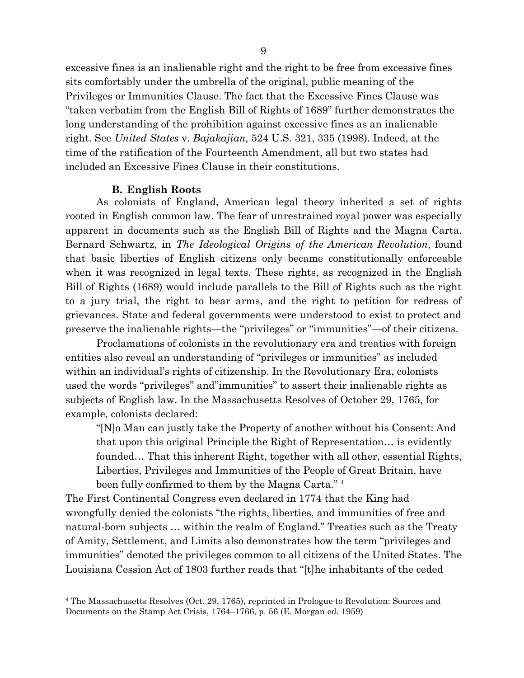excessive fines is an inalienable right and the right to be free from excessive fines sits comfortably under the umbrella of the original, public meaning of the Privileges or Immunities Clause. The fact that the Excessive Fines Clause was "taken verbatim from the English Bill of Rights of 1689" further demonstrates the long understanding of the prohibition against excessive fines as an inalienable right. See *United States* v. *Bajakajian,* 524 U.S. 321, 335 (1998). Indeed, at the time of the ratification of the Fourteenth Amendment, all but two states had included an Excessive Fines Clause in their constitutions.

#### **B. English Roots**

<span id="page-8-0"></span>As colonists of England, American legal theory inherited a set of rights rooted in English common law. The fear of unrestrained royal power was especially apparent in documents such as the English Bill of Rights and the Magna Carta. Bernard Schwartz, in *The Ideological Origins of the American Revolution*, found that basic liberties of English citizens only became constitutionally enforceable when it was recognized in legal texts. These rights, as recognized in the English Bill of Rights (1689) would include parallels to the Bill of Rights such as the right to a jury trial, the right to bear arms, and the right to petition for redress of grievances. State and federal governments were understood to exist to protect and preserve the inalienable rights—the "privileges" or "immunities"—of their citizens.

Proclamations of colonists in the revolutionary era and treaties with foreign entities also reveal an understanding of "privileges or immunities" as included within an individual's rights of citizenship. In the Revolutionary Era, colonists used the words "privileges" and"immunities" to assert their inalienable rights as subjects of English law. In the Massachusetts Resolves of October 29, 1765, for example, colonists declared:

"[N]o Man can justly take the Property of another without his Consent: And that upon this original Principle the Right of Representation… is evidently founded… That this inherent Right, together with all other, essential Rights, Liberties, Privileges and Immunities of the People of Great Britain, have been fully confirmed to them by the Magna Carta." <sup>4</sup>

The First Continental Congress even declared in 1774 that the King had wrongfully denied the colonists "the rights, liberties, and immunities of free and natural-born subjects … within the realm of England." Treaties such as the Treaty of Amity, Settlement, and Limits also demonstrates how the term "privileges and immunities" denoted the privileges common to all citizens of the United States. The Louisiana Cession Act of 1803 further reads that "[t]he inhabitants of the ceded

<sup>4</sup> The Massachusetts Resolves (Oct. 29, 1765), reprinted in Prologue to Revolution: Sources and Documents on the Stamp Act Crisis, 1764–1766, p. 56 (E. Morgan ed. 1959)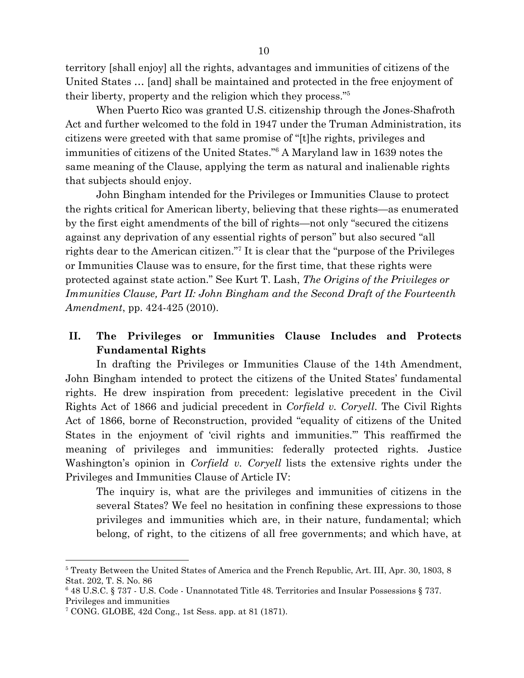territory [shall enjoy] all the rights, advantages and immunities of citizens of the United States … [and] shall be maintained and protected in the free enjoyment of their liberty, property and the religion which they process."<sup>5</sup>

When Puerto Rico was granted U.S. citizenship through the Jones-Shafroth Act and further welcomed to the fold in 1947 under the Truman Administration, its citizens were greeted with that same promise of "[t]he rights, privileges and immunities of citizens of the United States."<sup>6</sup> A Maryland law in 1639 notes the same meaning of the Clause, applying the term as natural and inalienable rights that subjects should enjoy.

John Bingham intended for the Privileges or Immunities Clause to protect the rights critical for American liberty, believing that these rights—as enumerated by the first eight amendments of the bill of rights—not only "secured the citizens against any deprivation of any essential rights of person" but also secured "all rights dear to the American citizen."<sup>7</sup> It is clear that the "purpose of the Privileges" or Immunities Clause was to ensure, for the first time, that these rights were protected against state action." See Kurt T. Lash, *The Origins of the Privileges or Immunities Clause, Part II: John Bingham and the Second Draft of the Fourteenth Amendment*, pp. 424-425 (2010).

## <span id="page-9-0"></span>**II. The Privileges or Immunities Clause Includes and Protects Fundamental Rights**

In drafting the Privileges or Immunities Clause of the 14th Amendment, John Bingham intended to protect the citizens of the United States' fundamental rights. He drew inspiration from precedent: legislative precedent in the Civil Rights Act of 1866 and judicial precedent in *Corfield v. Coryell*. The Civil Rights Act of 1866, borne of Reconstruction, provided "equality of citizens of the United States in the enjoyment of 'civil rights and immunities.'" This reaffirmed the meaning of privileges and immunities: federally protected rights. Justice Washington's opinion in *Corfield v. Coryell* lists the extensive rights under the Privileges and Immunities Clause of Article IV:

The inquiry is, what are the privileges and immunities of citizens in the several States? We feel no hesitation in confining these expressions to those privileges and immunities which are, in their nature, fundamental; which belong, of right, to the citizens of all free governments; and which have, at

<sup>5</sup> Treaty Between the United States of America and the French Republic, Art. III, Apr. 30, 1803, 8 Stat. 202, T. S. No. 86

<sup>6</sup> 48 U.S.C. § 737 - U.S. Code - Unannotated Title 48. Territories and Insular Possessions § 737. Privileges and immunities

<sup>7</sup> CONG. GLOBE, 42d Cong., 1st Sess. app. at 81 (1871).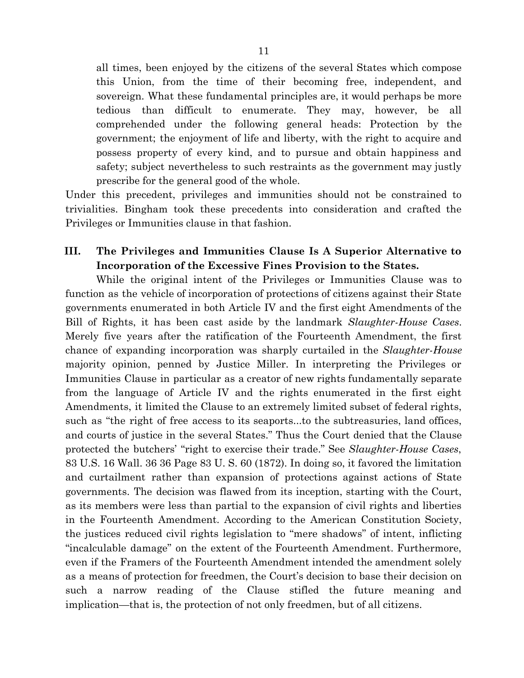all times, been enjoyed by the citizens of the several States which compose this Union, from the time of their becoming free, independent, and sovereign. What these fundamental principles are, it would perhaps be more tedious than difficult to enumerate. They may, however, be all comprehended under the following general heads: Protection by the government; the enjoyment of life and liberty, with the right to acquire and possess property of every kind, and to pursue and obtain happiness and safety; subject nevertheless to such restraints as the government may justly prescribe for the general good of the whole.

Under this precedent, privileges and immunities should not be constrained to trivialities. Bingham took these precedents into consideration and crafted the Privileges or Immunities clause in that fashion.

### <span id="page-10-0"></span>**III. The Privileges and Immunities Clause Is A Superior Alternative to Incorporation of the Excessive Fines Provision to the States.**

While the original intent of the Privileges or Immunities Clause was to function as the vehicle of incorporation of protections of citizens against their State governments enumerated in both Article IV and the first eight Amendments of the Bill of Rights, it has been cast aside by the landmark *Slaughter-House Cases*. Merely five years after the ratification of the Fourteenth Amendment, the first chance of expanding incorporation was sharply curtailed in the *Slaughter-House* majority opinion, penned by Justice Miller. In interpreting the Privileges or Immunities Clause in particular as a creator of new rights fundamentally separate from the language of Article IV and the rights enumerated in the first eight Amendments, it limited the Clause to an extremely limited subset of federal rights, such as "the right of free access to its seaports...to the subtreasuries, land offices, and courts of justice in the several States." Thus the Court denied that the Clause protected the butchers' "right to exercise their trade." See *Slaughter-House Cases*, 83 U.S. 16 Wall. 36 36 Page 83 U. S. 60 (1872). In doing so, it favored the limitation and curtailment rather than expansion of protections against actions of State governments. The decision was flawed from its inception, starting with the Court, as its members were less than partial to the expansion of civil rights and liberties in the Fourteenth Amendment. According to the American Constitution Society, the justices reduced civil rights legislation to "mere shadows" of intent, inflicting "incalculable damage" on the extent of the Fourteenth Amendment. Furthermore, even if the Framers of the Fourteenth Amendment intended the amendment solely as a means of protection for freedmen, the Court's decision to base their decision on such a narrow reading of the Clause stifled the future meaning and implication—that is, the protection of not only freedmen, but of all citizens.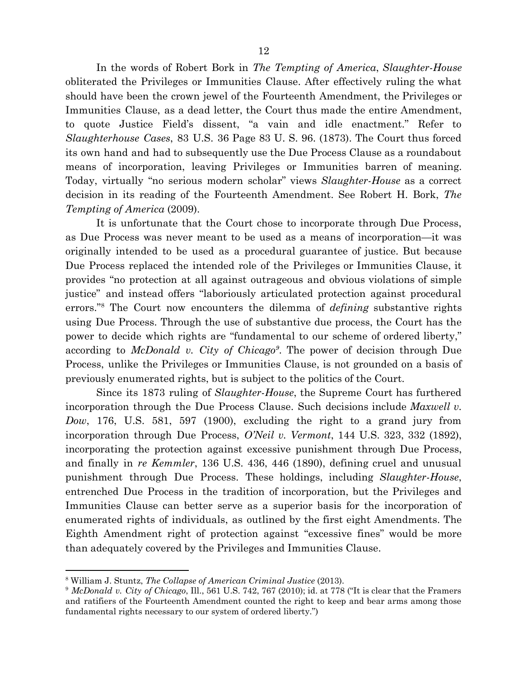In the words of Robert Bork in *The Tempting of America*, *Slaughter-House* obliterated the Privileges or Immunities Clause. After effectively ruling the what should have been the crown jewel of the Fourteenth Amendment, the Privileges or Immunities Clause, as a dead letter, the Court thus made the entire Amendment, to quote Justice Field's dissent, "a vain and idle enactment." Refer to *Slaughterhouse Cases*, 83 U.S. 36 Page 83 U. S. 96. (1873). The Court thus forced its own hand and had to subsequently use the Due Process Clause as a roundabout means of incorporation, leaving Privileges or Immunities barren of meaning. Today, virtually "no serious modern scholar" views *Slaughter-House* as a correct decision in its reading of the Fourteenth Amendment. See Robert H. Bork, *The Tempting of America* (2009).

It is unfortunate that the Court chose to incorporate through Due Process, as Due Process was never meant to be used as a means of incorporation—it was originally intended to be used as a procedural guarantee of justice. But because Due Process replaced the intended role of the Privileges or Immunities Clause, it provides "no protection at all against outrageous and obvious violations of simple justice" and instead offers "laboriously articulated protection against procedural errors."<sup>8</sup> The Court now encounters the dilemma of *defining* substantive rights using Due Process. Through the use of substantive due process, the Court has the power to decide which rights are "fundamental to our scheme of ordered liberty," according to *McDonald v. City of Chicago*<sup>9</sup>. The power of decision through Due Process, unlike the Privileges or Immunities Clause, is not grounded on a basis of previously enumerated rights, but is subject to the politics of the Court.

Since its 1873 ruling of *Slaughter-House*, the Supreme Court has furthered incorporation through the Due Process Clause. Such decisions include *Maxwell v. Dow*, 176, U.S. 581, 597 (1900), excluding the right to a grand jury from incorporation through Due Process, *O'Neil v. Vermont*, 144 U.S. 323, 332 (1892), incorporating the protection against excessive punishment through Due Process, and finally in *re Kemmler*, 136 U.S. 436, 446 (1890), defining cruel and unusual punishment through Due Process. These holdings, including *Slaughter-House*, entrenched Due Process in the tradition of incorporation, but the Privileges and Immunities Clause can better serve as a superior basis for the incorporation of enumerated rights of individuals, as outlined by the first eight Amendments. The Eighth Amendment right of protection against "excessive fines" would be more than adequately covered by the Privileges and Immunities Clause.

<sup>8</sup> William J. Stuntz, *The Collapse of American Criminal Justice* (2013).

<sup>9</sup> *McDonald v. City of Chicago*, Ill., 561 U.S. 742, 767 (2010); id. at 778 ("It is clear that the Framers and ratifiers of the Fourteenth Amendment counted the right to keep and bear arms among those fundamental rights necessary to our system of ordered liberty.")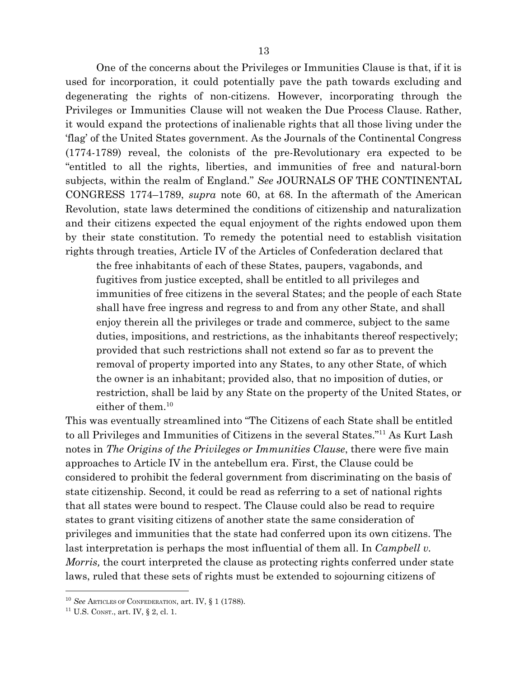One of the concerns about the Privileges or Immunities Clause is that, if it is used for incorporation, it could potentially pave the path towards excluding and degenerating the rights of non-citizens. However, incorporating through the Privileges or Immunities Clause will not weaken the Due Process Clause. Rather, it would expand the protections of inalienable rights that all those living under the 'flag' of the United States government. As the Journals of the Continental Congress (1774-1789) reveal, the colonists of the pre-Revolutionary era expected to be "entitled to all the rights, liberties, and immunities of free and natural-born

subjects, within the realm of England." *See* JOURNALS OF THE CONTINENTAL CONGRESS 1774–1789, *supra* note 60, at 68. In the aftermath of the American Revolution, state laws determined the conditions of citizenship and naturalization and their citizens expected the equal enjoyment of the rights endowed upon them by their state constitution. To remedy the potential need to establish visitation rights through treaties, Article IV of the Articles of Confederation declared that

the free inhabitants of each of these States, paupers, vagabonds, and fugitives from justice excepted, shall be entitled to all privileges and immunities of free citizens in the several States; and the people of each State shall have free ingress and regress to and from any other State, and shall enjoy therein all the privileges or trade and commerce, subject to the same duties, impositions, and restrictions, as the inhabitants thereof respectively; provided that such restrictions shall not extend so far as to prevent the removal of property imported into any States, to any other State, of which the owner is an inhabitant; provided also, that no imposition of duties, or restriction, shall be laid by any State on the property of the United States, or either of them.<sup>10</sup>

This was eventually streamlined into "The Citizens of each State shall be entitled to all Privileges and Immunities of Citizens in the several States."<sup>11</sup> As Kurt Lash notes in *The Origins of the Privileges or Immunities Clause*, there were five main approaches to Article IV in the antebellum era. First, the Clause could be considered to prohibit the federal government from discriminating on the basis of state citizenship. Second, it could be read as referring to a set of national rights that all states were bound to respect. The Clause could also be read to require states to grant visiting citizens of another state the same consideration of privileges and immunities that the state had conferred upon its own citizens. The last interpretation is perhaps the most influential of them all. In *Campbell v. Morris,* the court interpreted the clause as protecting rights conferred under state laws, ruled that these sets of rights must be extended to sojourning citizens of

<sup>10</sup> *See* ARTICLES OF CONFEDERATION, art. IV, § 1 (1788).

 $11$  U.S. CONST., art. IV, § 2, cl. 1.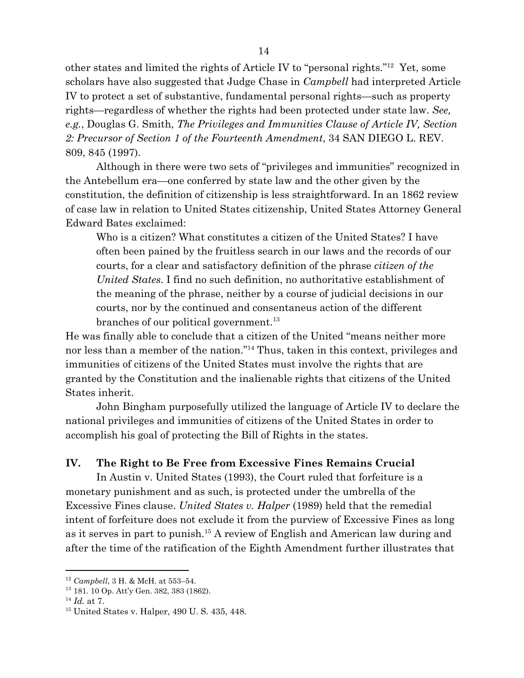other states and limited the rights of Article IV to "personal rights."<sup>12</sup> Yet, some scholars have also suggested that Judge Chase in *Campbell* had interpreted Article IV to protect a set of substantive, fundamental personal rights—such as property rights—regardless of whether the rights had been protected under state law. *See, e.g.*, Douglas G. Smith, *The Privileges and Immunities Clause of Article IV, Section 2: Precursor of Section 1 of the Fourteenth Amendment*, 34 SAN DIEGO L. REV. 809, 845 (1997).

Although in there were two sets of "privileges and immunities" recognized in the Antebellum era—one conferred by state law and the other given by the constitution, the definition of citizenship is less straightforward. In an 1862 review of case law in relation to United States citizenship, United States Attorney General Edward Bates exclaimed:

Who is a citizen? What constitutes a citizen of the United States? I have often been pained by the fruitless search in our laws and the records of our courts, for a clear and satisfactory definition of the phrase *citizen of the United States*. I find no such definition, no authoritative establishment of the meaning of the phrase, neither by a course of judicial decisions in our courts, nor by the continued and consentaneus action of the different branches of our political government.<sup>13</sup>

He was finally able to conclude that a citizen of the United "means neither more nor less than a member of the nation."<sup>14</sup> Thus, taken in this context, privileges and immunities of citizens of the United States must involve the rights that are granted by the Constitution and the inalienable rights that citizens of the United States inherit.

John Bingham purposefully utilized the language of Article IV to declare the national privileges and immunities of citizens of the United States in order to accomplish his goal of protecting the Bill of Rights in the states.

#### <span id="page-13-0"></span>**IV. The Right to Be Free from Excessive Fines Remains Crucial**

In Austin v. United States (1993), the Court ruled that forfeiture is a monetary punishment and as such, is protected under the umbrella of the Excessive Fines clause. *United States v. Halper* (1989) held that the remedial intent of forfeiture does not exclude it from the purview of Excessive Fines as long as it serves in part to punish.<sup>15</sup> A review of English and American law during and after the time of the ratification of the Eighth Amendment further illustrates that

<sup>12</sup> *Campbell*, 3 H. & McH. at 553–54.

<sup>13</sup> 181. 10 Op. Att'y Gen. 382, 383 (1862).

<sup>14</sup> *Id.* at 7.

<sup>15</sup> United States v. Halper, 490 U. S. [435](https://supreme.justia.com/cases/federal/us/490/435/case.html), 448.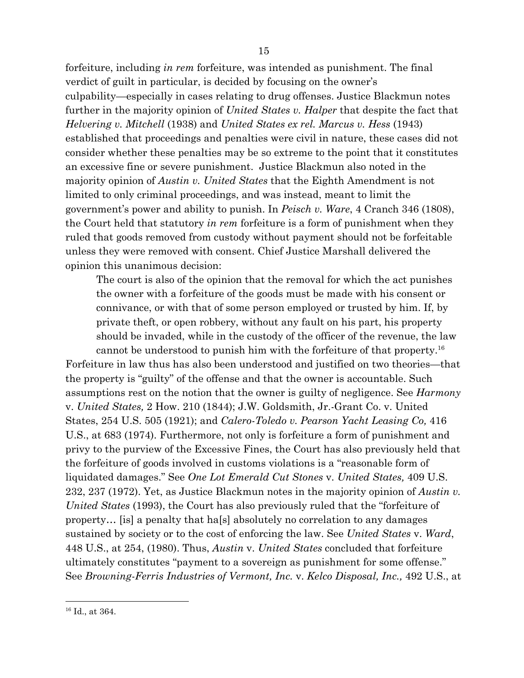forfeiture, including *in rem* forfeiture, was intended as punishment. The final verdict of guilt in particular, is decided by focusing on the owner's culpability—especially in cases relating to drug offenses. Justice Blackmun notes further in the majority opinion of *United States v. Halper* that despite the fact that *Helvering v. Mitchell* (1938) and *United States ex rel. Marcus v. Hess* (1943) established that proceedings and penalties were civil in nature, these cases did not consider whether these penalties may be so extreme to the point that it constitutes an excessive fine or severe punishment. Justice Blackmun also noted in the majority opinion of *Austin v. United States* that the Eighth Amendment is not limited to only criminal proceedings, and was instead, meant to limit the government's power and ability to punish. In *Peisch v. Ware*, 4 Cranch 346 (1808), the Court held that statutory *in rem* forfeiture is a form of punishment when they ruled that goods removed from custody without payment should not be forfeitable unless they were removed with consent. Chief Justice Marshall delivered the opinion this unanimous decision:

The court is also of the opinion that the removal for which the act punishes the owner with a forfeiture of the goods must be made with his consent or connivance, or with that of some person employed or trusted by him. If, by private theft, or open robbery, without any fault on his part, his property should be invaded, while in the custody of the officer of the revenue, the law cannot be understood to punish him with the forfeiture of that property.<sup>16</sup>

Forfeiture in law thus has also been understood and justified on two theories—that the property is "guilty" of the offense and that the owner is accountable. Such assumptions rest on the notion that the owner is guilty of negligence. See *Harmony* v. *United States,* 2 How. 210 (1844); J.W. Goldsmith, Jr.-Grant Co. v. United States, 254 U.S. 505 (1921); and *Calero-Toledo v. Pearson Yacht Leasing Co,* 416 U.S., at 683 (1974). Furthermore, not only is forfeiture a form of punishment and privy to the purview of the Excessive Fines, the Court has also previously held that the forfeiture of goods involved in customs violations is a "reasonable form of liquidated damages." See *One Lot Emerald Cut Stones* v. *United States,* 409 U.S. 232, 237 (1972). Yet, as Justice Blackmun notes in the majority opinion of *Austin v. United States* (1993), the Court has also previously ruled that the "forfeiture of property… [is] a penalty that ha[s] absolutely no correlation to any damages sustained by society or to the cost of enforcing the law. See *United States* v. *Ward*, 448 U.S., at 254, (1980). Thus, *Austin* v. *United States* concluded that forfeiture ultimately constitutes "payment to a sovereign as punishment for some offense." See *Browning-Ferris Industries of Vermont, Inc.* v. *Kelco Disposal, Inc.,* 492 U.S., at

<sup>&</sup>lt;sup>16</sup> Id., at 364.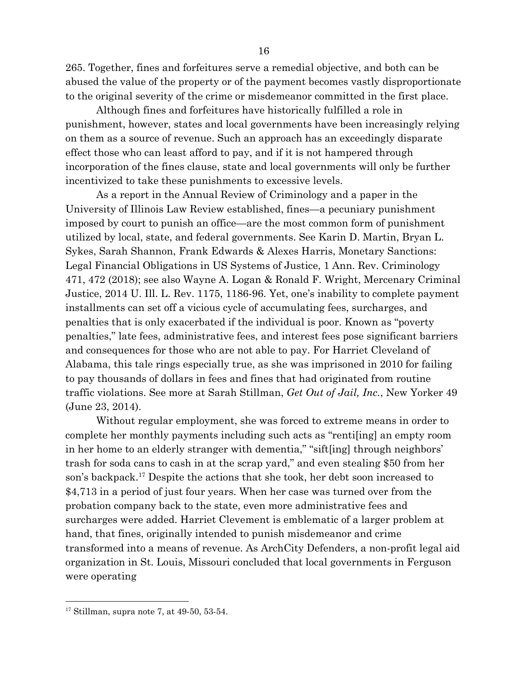265. Together, fines and forfeitures serve a remedial objective, and both can be abused the value of the property or of the payment becomes vastly disproportionate to the original severity of the crime or misdemeanor committed in the first place.

Although fines and forfeitures have historically fulfilled a role in punishment, however, states and local governments have been increasingly relying on them as a source of revenue. Such an approach has an exceedingly disparate effect those who can least afford to pay, and if it is not hampered through incorporation of the fines clause, state and local governments will only be further incentivized to take these punishments to excessive levels.

As a report in the Annual Review of Criminology and a paper in the University of Illinois Law Review established, fines—a pecuniary punishment imposed by court to punish an office—are the most common form of punishment utilized by local, state, and federal governments. See Karin D. Martin, Bryan L. Sykes, Sarah Shannon, Frank Edwards & Alexes Harris, Monetary Sanctions: Legal Financial Obligations in US Systems of Justice, 1 Ann. Rev. Criminology 471, 472 (2018); see also Wayne A. Logan & Ronald F. Wright, Mercenary Criminal Justice, 2014 U. Ill. L. Rev. 1175, 1186-96. Yet, one's inability to complete payment installments can set off a vicious cycle of accumulating fees, surcharges, and penalties that is only exacerbated if the individual is poor. Known as "poverty penalties," late fees, administrative fees, and interest fees pose significant barriers and consequences for those who are not able to pay. For Harriet Cleveland of Alabama, this tale rings especially true, as she was imprisoned in 2010 for failing to pay thousands of dollars in fees and fines that had originated from routine traffic violations. See more at Sarah Stillman, *Get Out of Jail, Inc.*, New Yorker 49 (June 23, 2014).

Without regular employment, she was forced to extreme means in order to complete her monthly payments including such acts as "renti[ing] an empty room in her home to an elderly stranger with dementia," "sift[ing] through neighbors' trash for soda cans to cash in at the scrap yard," and even stealing \$50 from her son's backpack.<sup>17</sup> Despite the actions that she took, her debt soon increased to \$4,713 in a period of just four years. When her case was turned over from the probation company back to the state, even more administrative fees and surcharges were added. Harriet Clevement is emblematic of a larger problem at hand, that fines, originally intended to punish misdemeanor and crime transformed into a means of revenue. As ArchCity Defenders, a non-profit legal aid organization in St. Louis, Missouri concluded that local governments in Ferguson were operating

 $17$  Stillman, supra note 7, at 49-50, 53-54.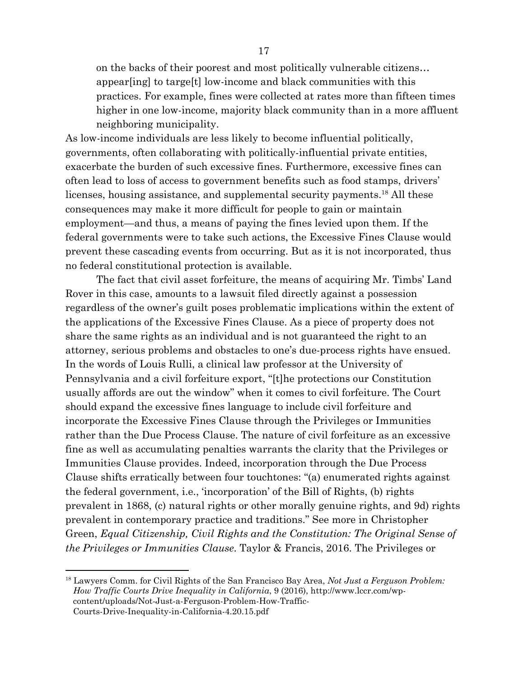on the backs of their poorest and most politically vulnerable citizens… appear[ing] to targe[t] low-income and black communities with this practices. For example, fines were collected at rates more than fifteen times higher in one low-income, majority black community than in a more affluent neighboring municipality.

As low-income individuals are less likely to become influential politically, governments, often collaborating with politically-influential private entities, exacerbate the burden of such excessive fines. Furthermore, excessive fines can often lead to loss of access to government benefits such as food stamps, drivers' licenses, housing assistance, and supplemental security payments.<sup>18</sup> All these consequences may make it more difficult for people to gain or maintain employment—and thus, a means of paying the fines levied upon them. If the federal governments were to take such actions, the Excessive Fines Clause would prevent these cascading events from occurring. But as it is not incorporated, thus no federal constitutional protection is available.

The fact that civil asset forfeiture, the means of acquiring Mr. Timbs' Land Rover in this case, amounts to a lawsuit filed directly against a possession regardless of the owner's guilt poses problematic implications within the extent of the applications of the Excessive Fines Clause. As a piece of property does not share the same rights as an individual and is not guaranteed the right to an attorney, serious problems and obstacles to one's due-process rights have ensued. In the words of Louis Rulli, a clinical law professor at the University of Pennsylvania and a civil forfeiture export, "[t]he protections our Constitution usually affords are out the window" when it comes to civil forfeiture. The Court should expand the excessive fines language to include civil forfeiture and incorporate the Excessive Fines Clause through the Privileges or Immunities rather than the Due Process Clause. The nature of civil forfeiture as an excessive fine as well as accumulating penalties warrants the clarity that the Privileges or Immunities Clause provides. Indeed, incorporation through the Due Process Clause shifts erratically between four touchtones: "(a) enumerated rights against the federal government, i.e., 'incorporation' of the Bill of Rights, (b) rights prevalent in 1868, (c) natural rights or other morally genuine rights, and 9d) rights prevalent in contemporary practice and traditions." See more in Christopher Green, *Equal Citizenship, Civil Rights and the Constitution: The Original Sense of the Privileges or Immunities Clause*. Taylor & Francis, 2016. The Privileges or

<sup>18</sup> Lawyers Comm. for Civil Rights of the San Francisco Bay Area, *Not Just a Ferguson Problem: How Traffic Courts Drive Inequality in California*, 9 (2016), http://www.lccr.com/wpcontent/uploads/Not-Just-a-Ferguson-Problem-How-Traffic-Courts-Drive-Inequality-in-California-4.20.15.pdf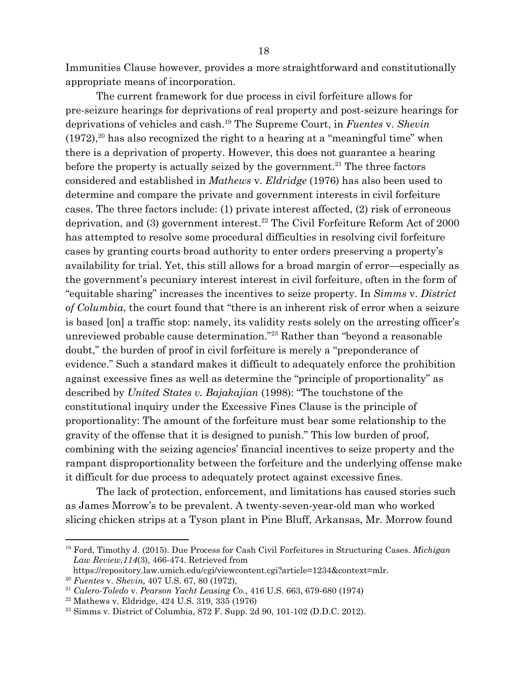Immunities Clause however, provides a more straightforward and constitutionally appropriate means of incorporation.

The current framework for due process in civil forfeiture allows for pre-seizure hearings for deprivations of real property and post-seizure hearings for deprivations of vehicles and cash.<sup>19</sup> The Supreme Court, in *Fuentes v. Shevin*  $(1972)$ , <sup>20</sup> has also recognized the right to a hearing at a "meaningful time" when there is a deprivation of property. However, this does not guarantee a hearing before the property is actually seized by the government.<sup>21</sup> The three factors considered and established in *Mathews* v. *Eldridge* (1976) has also been used to determine and compare the private and government interests in civil forfeiture cases. The three factors include: (1) private interest affected, (2) risk of erroneous deprivation, and  $(3)$  government interest.<sup>22</sup> The Civil Forfeiture Reform Act of 2000 has attempted to resolve some procedural difficulties in resolving civil forfeiture cases by granting courts broad authority to enter orders preserving a property's availability for trial. Yet, this still allows for a broad margin of error—especially as the government's pecuniary interest interest in civil forfeiture, often in the form of "equitable sharing" increases the incentives to seize property. In *Simms* v. *District of Columbia*, the court found that "there is an inherent risk of error when a seizure is based [on] a traffic stop: namely, its validity rests solely on the arresting officer's unreviewed probable cause determination."<sup>23</sup> Rather than "beyond a reasonable doubt," the burden of proof in civil forfeiture is merely a "preponderance of evidence." Such a standard makes it difficult to adequately enforce the prohibition against excessive fines as well as determine the "principle of proportionality" as described by *United States v. Bajakajian* (1998): "The touchstone of the constitutional inquiry under the Excessive Fines Clause is the principle of proportionality: The amount of the forfeiture must bear some relationship to the gravity of the offense that it is designed to punish." This low burden of proof, combining with the seizing agencies' financial incentives to seize property and the rampant disproportionality between the forfeiture and the underlying offense make it difficult for due process to adequately protect against excessive fines.

The lack of protection, enforcement, and limitations has caused stories such as James Morrow's to be prevalent. A twenty-seven-year-old man who worked slicing chicken strips at a Tyson plant in Pine Bluff, Arkansas, Mr. Morrow found

<sup>19</sup> Ford, Timothy J. (2015). Due Process for Cash Civil Forfeitures in Structuring Cases. *Michigan Law Review,114*(3), 466-474. Retrieved from

https://repository.law.umich.edu/cgi/viewcontent.cgi?article=1234&context=mlr.

<sup>20</sup> *Fuentes* v. *Shevin,* 407 U.S. 67, 80 (1972),

<sup>21</sup> *Calero-Toledo* v. *Pearson Yacht Leasing Co.*, 416 U.S. 663, 679-680 (1974)

<sup>22</sup> Mathews v. Eldridge, 424 U.S. 319, 335 (1976)

<sup>23</sup> Simms v. District of Columbia, 872 F. Supp. 2d 90, 101-102 (D.D.C. 2012).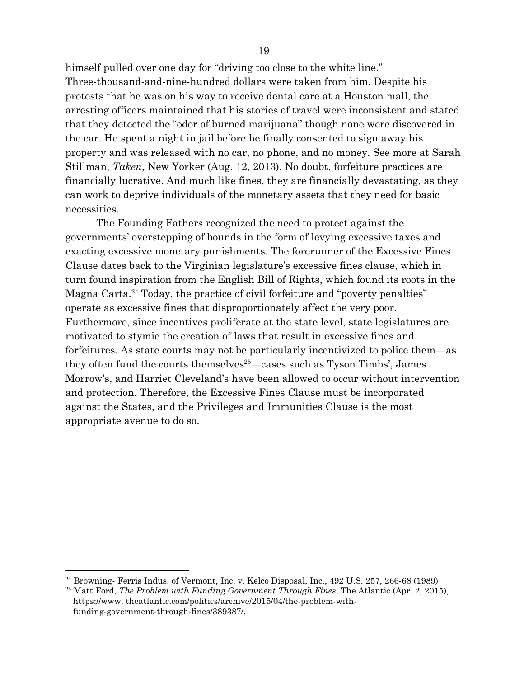himself pulled over one day for "driving too close to the white line." Three-thousand-and-nine-hundred dollars were taken from him. Despite his protests that he was on his way to receive dental care at a Houston mall, the arresting officers maintained that his stories of travel were inconsistent and stated that they detected the "odor of burned marijuana" though none were discovered in the car. He spent a night in jail before he finally consented to sign away his property and was released with no car, no phone, and no money. See more at Sarah Stillman, *Taken*, New Yorker (Aug. 12, 2013). No doubt, forfeiture practices are financially lucrative. And much like fines, they are financially devastating, as they can work to deprive individuals of the monetary assets that they need for basic necessities.

The Founding Fathers recognized the need to protect against the governments' overstepping of bounds in the form of levying excessive taxes and exacting excessive monetary punishments. The forerunner of the Excessive Fines Clause dates back to the Virginian legislature's excessive fines clause, which in turn found inspiration from the English Bill of Rights, which found its roots in the Magna Carta.<sup>24</sup> Today, the practice of civil forfeiture and "poverty penalties" operate as excessive fines that disproportionately affect the very poor. Furthermore, since incentives proliferate at the state level, state legislatures are motivated to stymie the creation of laws that result in excessive fines and forfeitures. As state courts may not be particularly incentivized to police them—as they often fund the courts themselves<sup> $25$ </sup>—cases such as Tyson Timbs', James Morrow's, and Harriet Cleveland's have been allowed to occur without intervention and protection. Therefore, the Excessive Fines Clause must be incorporated against the States, and the Privileges and Immunities Clause is the most appropriate avenue to do so.

<sup>&</sup>lt;sup>24</sup> Browning- Ferris Indus. of Vermont, Inc. v. Kelco Disposal, Inc., 492 U.S. 257, 266-68 (1989)

<sup>25</sup> Matt Ford, *The Problem with Funding Government Through Fines*, The Atlantic (Apr. 2, 2015), https://www. theatlantic.com/politics/archive/2015/04/the-problem-withfunding-government-through-fines/389387/.